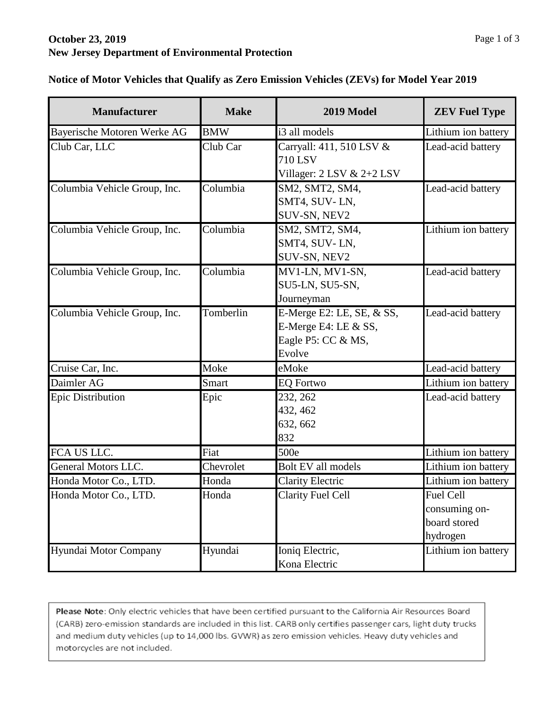## **October 23, 2019 New Jersey Department of Environmental Protection**

| <b>Manufacturer</b>          | <b>Make</b> | 2019 Model                                                                          | <b>ZEV Fuel Type</b>                                          |
|------------------------------|-------------|-------------------------------------------------------------------------------------|---------------------------------------------------------------|
| Bayerische Motoren Werke AG  | <b>BMW</b>  | i3 all models                                                                       | Lithium ion battery                                           |
| Club Car, LLC                | Club Car    | Carryall: 411, 510 LSV &<br><b>710 LSV</b><br>Villager: $2$ LSV & $2+2$ LSV         | Lead-acid battery                                             |
| Columbia Vehicle Group, Inc. | Columbia    | SM2, SMT2, SM4,<br>SMT4, SUV-LN,<br>SUV-SN, NEV2                                    | Lead-acid battery                                             |
| Columbia Vehicle Group, Inc. | Columbia    | SM2, SMT2, SM4,<br>SMT4, SUV-LN,<br>SUV-SN, NEV2                                    | Lithium ion battery                                           |
| Columbia Vehicle Group, Inc. | Columbia    | MV1-LN, MV1-SN,<br>SU5-LN, SU5-SN,<br>Journeyman                                    | Lead-acid battery                                             |
| Columbia Vehicle Group, Inc. | Tomberlin   | E-Merge E2: LE, SE, & SS,<br>E-Merge E4: LE $&$ SS,<br>Eagle P5: CC & MS,<br>Evolve | Lead-acid battery                                             |
| Cruise Car, Inc.             | Moke        | eMoke                                                                               | Lead-acid battery                                             |
| Daimler AG                   | Smart       | <b>EQ Fortwo</b>                                                                    | Lithium ion battery                                           |
| <b>Epic Distribution</b>     | Epic        | 232, 262<br>432, 462<br>632, 662<br>832                                             | Lead-acid battery                                             |
| FCA US LLC.                  | Fiat        | 500e                                                                                | Lithium ion battery                                           |
| General Motors LLC.          | Chevrolet   | Bolt EV all models                                                                  | Lithium ion battery                                           |
| Honda Motor Co., LTD.        | Honda       | <b>Clarity Electric</b>                                                             | Lithium ion battery                                           |
| Honda Motor Co., LTD.        | Honda       | <b>Clarity Fuel Cell</b>                                                            | <b>Fuel Cell</b><br>consuming on-<br>board stored<br>hydrogen |
| Hyundai Motor Company        | Hyundai     | Ioniq Electric,<br>Kona Electric                                                    | Lithium ion battery                                           |

**Notice of Motor Vehicles that Qualify as Zero Emission Vehicles (ZEVs) for Model Year 2019**

Please Note: Only electric vehicles that have been certified pursuant to the California Air Resources Board (CARB) zero-emission standards are included in this list. CARB only certifies passenger cars, light duty trucks and medium duty vehicles (up to 14,000 lbs. GVWR) as zero emission vehicles. Heavy duty vehicles and motorcycles are not included.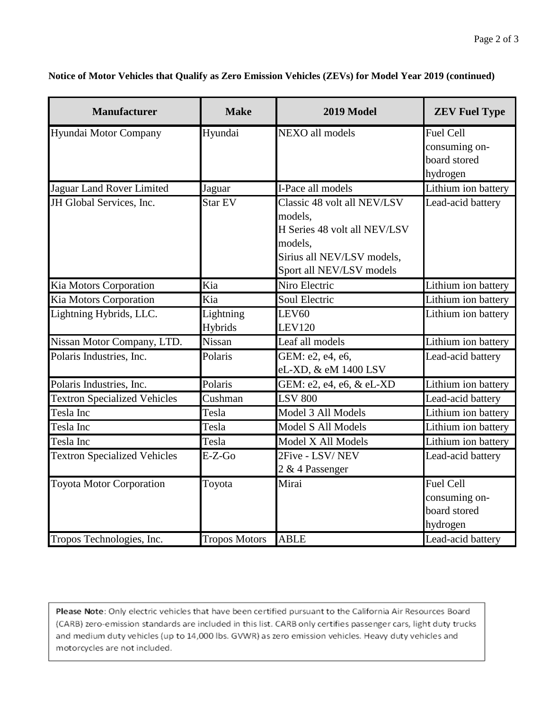| <b>Manufacturer</b>                 | <b>Make</b>          | 2019 Model                                                                                                                                  | <b>ZEV Fuel Type</b>                                          |
|-------------------------------------|----------------------|---------------------------------------------------------------------------------------------------------------------------------------------|---------------------------------------------------------------|
| Hyundai Motor Company               | Hyundai              | NEXO all models                                                                                                                             | Fuel Cell<br>consuming on-<br>board stored<br>hydrogen        |
| Jaguar Land Rover Limited           | Jaguar               | I-Pace all models                                                                                                                           | Lithium ion battery                                           |
| JH Global Services, Inc.            | Star EV              | Classic 48 volt all NEV/LSV<br>models,<br>H Series 48 volt all NEV/LSV<br>models,<br>Sirius all NEV/LSV models,<br>Sport all NEV/LSV models | Lead-acid battery                                             |
| Kia Motors Corporation              | Kia                  | Niro Electric                                                                                                                               | Lithium ion battery                                           |
| Kia Motors Corporation              | Kia                  | Soul Electric                                                                                                                               | Lithium ion battery                                           |
| Lightning Hybrids, LLC.             | Lightning<br>Hybrids | LEV60<br><b>LEV120</b>                                                                                                                      | Lithium ion battery                                           |
| Nissan Motor Company, LTD.          | Nissan               | Leaf all models                                                                                                                             | Lithium ion battery                                           |
| Polaris Industries, Inc.            | Polaris              | GEM: e2, e4, e6,<br>eL-XD, & eM 1400 LSV                                                                                                    | Lead-acid battery                                             |
| Polaris Industries, Inc.            | Polaris              | GEM: e2, e4, e6, & eL-XD                                                                                                                    | Lithium ion battery                                           |
| <b>Textron Specialized Vehicles</b> | Cushman              | <b>LSV 800</b>                                                                                                                              | Lead-acid battery                                             |
| Tesla Inc                           | Tesla                | Model 3 All Models                                                                                                                          | Lithium ion battery                                           |
| Tesla Inc                           | Tesla                | Model S All Models                                                                                                                          | Lithium ion battery                                           |
| Tesla Inc                           | Tesla                | Model X All Models                                                                                                                          | Lithium ion battery                                           |
| <b>Textron Specialized Vehicles</b> | $E-Z-Go$             | 2Five - LSV/NEV<br>2 & 4 Passenger                                                                                                          | Lead-acid battery                                             |
| <b>Toyota Motor Corporation</b>     | Toyota               | Mirai                                                                                                                                       | <b>Fuel Cell</b><br>consuming on-<br>board stored<br>hydrogen |
| Tropos Technologies, Inc.           | <b>Tropos Motors</b> | <b>ABLE</b>                                                                                                                                 | Lead-acid battery                                             |

**Notice of Motor Vehicles that Qualify as Zero Emission Vehicles (ZEVs) for Model Year 2019 (continued)**

Please Note: Only electric vehicles that have been certified pursuant to the California Air Resources Board (CARB) zero-emission standards are included in this list. CARB only certifies passenger cars, light duty trucks and medium duty vehicles (up to 14,000 lbs. GVWR) as zero emission vehicles. Heavy duty vehicles and motorcycles are not included.